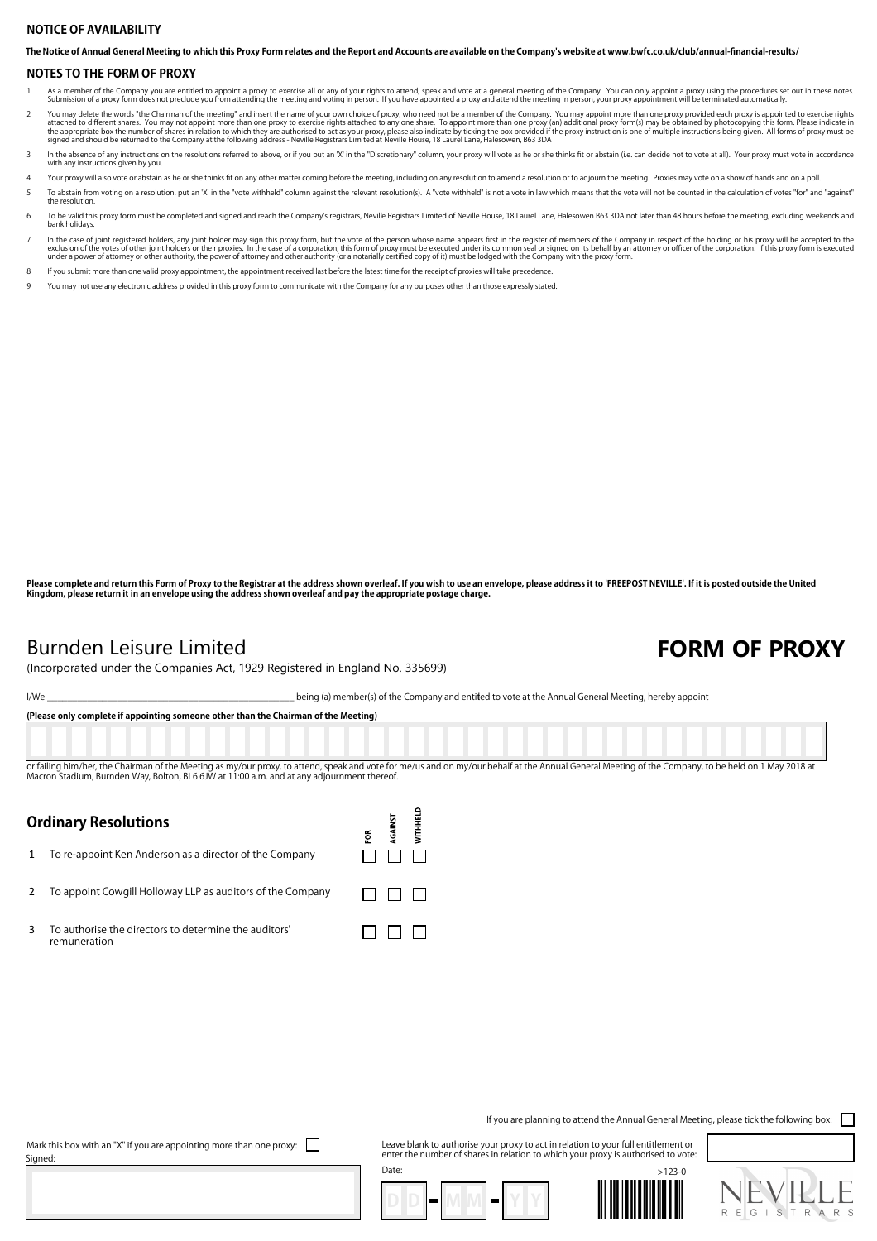#### **NOTICE OF AVAILABILITY**

**The Notice of Annual General Meeting to which this Proxy Form relates and the Report and Accounts are available on the Company's website at www.bwfc.co.uk/club/annual-financial-results/**

#### **NOTES TO THE FORM OF PROXY**

- As a member of the Company you are entitled to appoint a proxy to exercise all or any of your rights to attend, speak and vote at a general meeting of the Company. You can only appoint a proxy using the procedures set out Submission of a proxy form does not preclude you from attending the meeting and voting in person. If you have appointed a proxy and attend the meeting in person, your proxy appointment will be term
- You may delete the words "the Chairman of the meeting" and insert the name of your own choice of proxy, who need not be a member of the Company. You may appoint more than one proxy provided each proxy is appointed to exerc
- In the absence of any instructions on the resolutions referred to above, or if you put an 'X' in the "Discretionary" column, your proxy will vote as he or she thinks fit or abstain (i.e. can decide not to vote at all). You with any instructions given by you.
- Your proxy will also vote or abstain as he or she thinks fit on any other matter coming before the meeting, including on any resolution to amend a resolution or to adjourn the meeting. Proxies may vote on a show of hands a
- 5 To abstain from voting on a resolution, put an 'X' in the "vote withheld" column against the relevant resolution(s). A "vote withheld" is not a vote in law which means that the vote will not be counted in the calculation the resolution.
- 6 To be valid this proxy form must be completed and signed and reach the Company's registrars, Neville Registrars Limited of Neville House, 18 Laurel Lane, Halesowen B63 3DA not later than 48 hours before the meeting, excl bank holidays.
- In the case of joint registered holders, any joint holder may sign this proxy form, but the vote of the person whose name appears first in the register of members of the Company in respect of the holding or his proxy will
- 8 If you submit more than one valid proxy appointment, the appointment received last before the latest time for the receipt of proxies will take precedence.
- 9 You may not use any electronic address provided in this proxy form to communicate with the Company for any purposes other than those expressly stated.

**Please complete and return this Form of Proxy to the Registrar at the address shown overleaf. If you wish to use an envelope, please address it to 'FREEPOST NEVILLE'. If it is posted outside the United Kingdom, please return it in an envelope using the address shown overleaf and pay the appropriate postage charge.**

### Burnden Leisure Limited **FORM OF PROXY** (Incorporated under the Companies Act, 1929 Registered in England No. 335699)

I/We states the Company and entitled to vote at the Annual General Meeting, hereby appoint

**(Please only complete if appointing someone other than the Chairman of the Meeting)**

or failing him/her, the Chairman of the Meeting as my/our proxy, to attend, speak and vote for me/us and on my/our behalf at the Annual General Meeting of the Company, to be held on 1 May 2018 at Macron Stadium, Burnden Way, Bolton, BL6 6JW at 11:00 a.m. and at any adjournment thereof.

> **WITHHELD** AGAINST ទ្ថ

> > $\Box$  $\Box$

 $\Box$   $\Box$   $\Box$ 

 $\Box$  $\Box$  $\Box$ 

### **Ordinary Resolutions**

1 To re-appoint Ken Anderson as a director of the Company

2 To appoint Cowgill Holloway LLP as auditors of the Company

3 To authorise the directors to determine the auditors' remuneration

If you are planning to attend the Annual General Meeting, please tick the following box:

Mark this box with an "X" if you are appointing more than one proxy:  $\Box$ Signed:

Leave blank to authorise your proxy to act in relation to your full entitlement or enter the number of shares in relation to which your proxy is authorised to vote: Date: